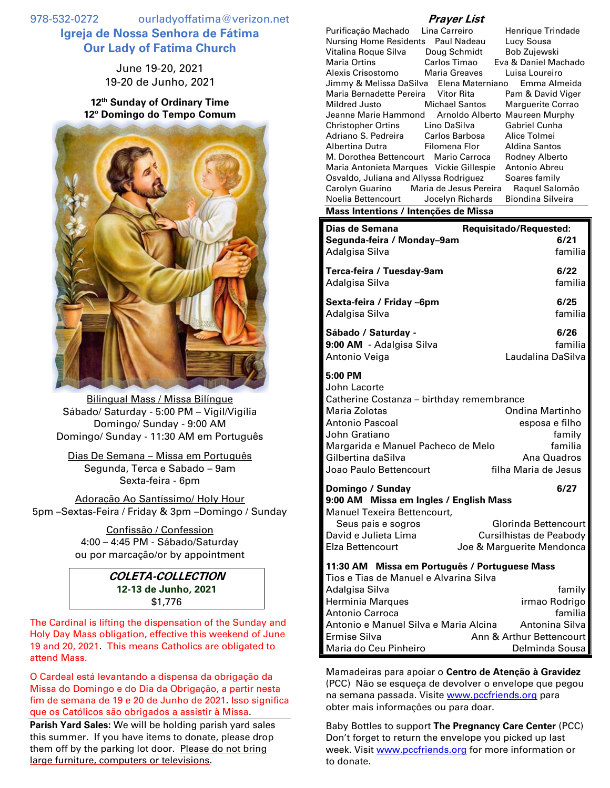978-532-0272 ourladyoffatima@verizon.net **Igreja de Nossa Senhora de Fátima Our Lady of Fatima Church**

> June 19-20, 2021 19-20 de Junho, 2021

**12 th Sunday of Ordinary Time 12º Domingo do Tempo Comum**



Bilingual Mass / Missa Bilíngue Sábado/ Saturday - 5:00 PM – Vigil/Vigília Domingo/ Sunday - 9:00 AM Domingo/ Sunday - 11:30 AM em Português

Dias De Semana – Missa em Português Segunda, Terca e Sabado – 9am Sexta-feira - 6pm

Adoração Ao Santíssimo/ Holy Hour 5pm –Sextas-Feira / Friday & 3pm –Domingo / Sunday

> Confissão / Confession 4:00 – 4:45 PM - Sábado/Saturday ou por marcação/or by appointment

> > **COLETA-COLLECTION 12-13 de Junho, 2021** \$1,776

The Cardinal is lifting the dispensation of the Sunday and Holy Day Mass obligation, effective this weekend of June 19 and 20, 2021. This means Catholics are obligated to attend Mass.

O Cardeal está levantando a dispensa da obrigação da Missa do Domingo e do Dia da Obrigação, a partir nesta fim de semana de 19 e 20 de Junho de 2021. Isso significa que os Católicos são obrigados a assistir à Missa.

**Parish Yard Sales:** We will be holding parish yard sales this summer. If you have items to donate, please drop them off by the parking lot door. Please do not bring large furniture, computers or televisions.

## **Prayer List**

| Purificação Machado                      | Lina Carreiro    | Henrique Trindade              |
|------------------------------------------|------------------|--------------------------------|
| Nursing Home Residents  Paul Nadeau      |                  | Lucy Sousa                     |
| Vitalina Roque Silva                     | Doug Schmidt     | Bob Zujewski                   |
| Maria Ortins                             | Carlos Timao     | Eva & Daniel Machado           |
| Alexis Crisostomo                        | Maria Greaves    | Luisa Loureiro                 |
| Jimmy & Melissa DaSilva Elena Materniano |                  | Emma Almeida                   |
| Maria Bernadette Pereira Vitor Rita      |                  | Pam & David Viger              |
| Mildred Justo                            | Michael Santos   | Marguerite Corrao              |
| Jeanne Marie Hammond                     |                  | Arnoldo Alberto Maureen Murphy |
| Christopher Ortins                       | Lino DaSilva     | <b>Gabriel Cunha</b>           |
| Adriano S. Pedreira                      | Carlos Barbosa   | Alice Tolmei                   |
| Albertina Dutra                          | Filomena Flor    | <b>Aldina Santos</b>           |
| M. Dorothea Bettencourt Mario Carroca    |                  | Rodney Alberto                 |
| Maria Antonieta Marques Vickie Gillespie |                  | Antonio Abreu                  |
| Osvaldo, Juliana and Allyssa Rodriguez   |                  | Soares family                  |
| Carolyn Guarino Maria de Jesus Pereira   |                  | Raguel Salomão                 |
| Noelia Bettencourt                       | Jocelyn Richards | Biondina Silveira              |

## **Mass Intentions / Intenções de Missa**

| Dias de Semana                                                                                                                                                                                                  | Requisitado/Requested:                                                                               |
|-----------------------------------------------------------------------------------------------------------------------------------------------------------------------------------------------------------------|------------------------------------------------------------------------------------------------------|
| Segunda-feira / Monday-9am                                                                                                                                                                                      | 6/21                                                                                                 |
| Adalgisa Silva                                                                                                                                                                                                  | familia                                                                                              |
| Terca-feira / Tuesday-9am                                                                                                                                                                                       | 6/22                                                                                                 |
| Adalgisa Silva                                                                                                                                                                                                  | familia                                                                                              |
| Sexta-feira / Friday -6pm                                                                                                                                                                                       | 6/25                                                                                                 |
| Adalgisa Silva                                                                                                                                                                                                  | familia                                                                                              |
| Sábado / Saturday -                                                                                                                                                                                             | 6/26                                                                                                 |
| 9:00 AM - Adalgisa Silva                                                                                                                                                                                        | familia                                                                                              |
| Antonio Veiga                                                                                                                                                                                                   | Laudalina DaSilva                                                                                    |
| 5:00 PM<br>John Lacorte<br>Catherine Costanza – birthday remembrance<br>Maria Zolotas<br>Antonio Pascoal<br>John Gratiano<br>Margarida e Manuel Pacheco de Melo<br>Gilbertina daSilva<br>Joao Paulo Bettencourt | <b>Ondina Martinho</b><br>esposa e filho<br>family<br>familia<br>Ana Quadros<br>filha Maria de Jesus |
| Domingo / Sunday<br>9:00 AM Missa em Ingles / English Mass<br>Manuel Texeira Bettencourt,<br>Seus pais e sogros<br>David e Julieta Lima<br>Elza Bettencourt                                                     | 6/27<br>Glorinda Bettencourt<br>Cursilhistas de Peabody<br>Joe & Marguerite Mendonca                 |
| 11:30 AM Missa em Português / Portuguese Mass<br>Tios e Tias de Manuel e Alvarina Silva<br>Adalgisa Silva<br><b>Herminia Marques</b><br><b>Antonio Carroca</b><br>Antonio e Manuel Silva e Maria Alcina         | family<br>irmao Rodrigo<br>familia<br>Antonina Silva                                                 |

Mamadeiras para apoiar o **Centro de Atenção à Gravidez** (PCC) Não se esqueça de devolver o envelope que pegou na semana passada. Visite [www.pccfriends.org](http://www.pccfriends.org/) para obter mais informações ou para doar.

Ermise Silva **Ann & Arthur Bettencourt** Maria do Ceu Pinheiro **National Executor Delminda Sousa** 

Baby Bottles to support **The Pregnancy Care Center** (PCC) Don't forget to return the envelope you picked up last week. Visit [www.pccfriends.org](http://www.pccfriends.org/) for more information or to donate.